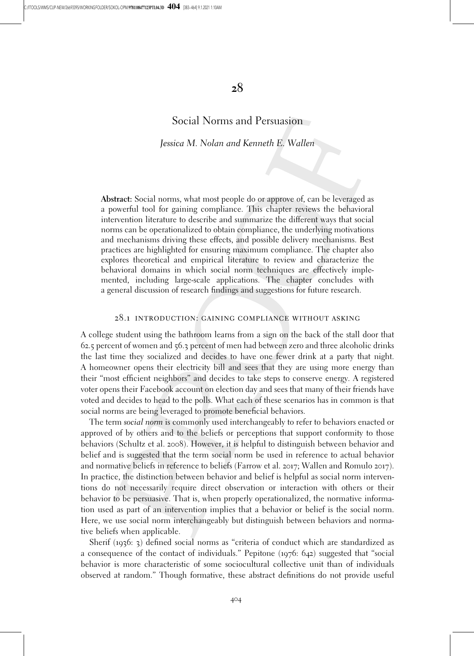# 28

# Social Norms and Persuasion

Jessica M. Nolan and Kenneth E. Wallen

Abstract: Social norms, what most people do or approve of, can be leveraged as a powerful tool for gaining compliance. This chapter reviews the behavioral intervention literature to describe and summarize the different ways that social norms can be operationalized to obtain compliance, the underlying motivations and mechanisms driving these effects, and possible delivery mechanisms. Best practices are highlighted for ensuring maximum compliance. The chapter also explores theoretical and empirical literature to review and characterize the behavioral domains in which social norm techniques are effectively implemented, including large-scale applications. The chapter concludes with a general discussion of research findings and suggestions for future research.

### 28.1 introduction: gaining compliance without asking

A college student using the bathroom learns from a sign on the back of the stall door that 62.5 percent of women and 56.3 percent of men had between zero and three alcoholic drinks the last time they socialized and decides to have one fewer drink at a party that night. A homeowner opens their electricity bill and sees that they are using more energy than their "most efficient neighbors" and decides to take steps to conserve energy. A registered voter opens their Facebook account on election day and sees that many of their friends have voted and decides to head to the polls. What each of these scenarios has in common is that social norms are being leveraged to promote beneficial behaviors.

The term social norm is commonly used interchangeably to refer to behaviors enacted or approved of by others and to the beliefs or perceptions that support conformity to those behaviors (Schultz et al. 2008). However, it is helpful to distinguish between behavior and belief and is suggested that the term social norm be used in reference to actual behavior and normative beliefs in reference to beliefs (Farrow et al. 2017; Wallen and Romulo 2017). In practice, the distinction between behavior and belief is helpful as social norm interventions do not necessarily require direct observation or interaction with others or their behavior to be persuasive. That is, when properly operationalized, the normative information used as part of an intervention implies that a behavior or belief is the social norm. Here, we use social norm interchangeably but distinguish between behaviors and normative beliefs when applicable.

Sherif (1936: 3) defined social norms as "criteria of conduct which are standardized as a consequence of the contact of individuals." Pepitone (1976: 642) suggested that "social behavior is more characteristic of some sociocultural collective unit than of individuals observed at random." Though formative, these abstract definitions do not provide useful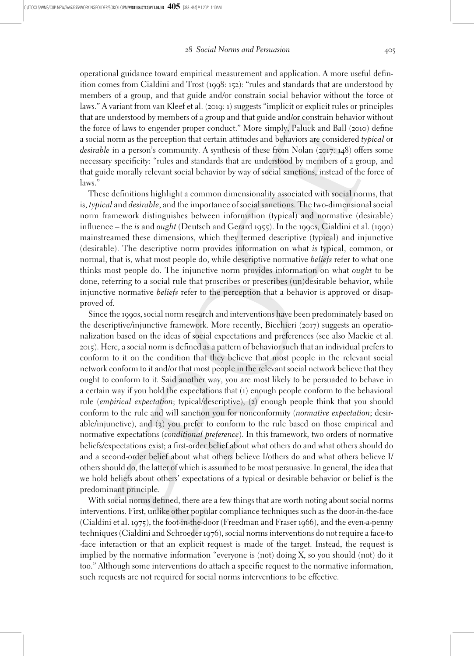operational guidance toward empirical measurement and application. A more useful definition comes from Cialdini and Trost (1998: 152): "rules and standards that are understood by members of a group, and that guide and/or constrain social behavior without the force of laws." A variant from van Kleef et al. (2019: 1) suggests "implicit or explicit rules or principles that are understood by members of a group and that guide and/or constrain behavior without the force of laws to engender proper conduct." More simply, Paluck and Ball (2010) define a social norm as the perception that certain attitudes and behaviors are considered typical or desirable in a person's community. A synthesis of these from Nolan (2017: 148) offers some necessary specificity: "rules and standards that are understood by members of a group, and that guide morally relevant social behavior by way of social sanctions, instead of the force of laws."

These definitions highlight a common dimensionality associated with social norms, that is, typical and desirable, and the importance of social sanctions. The two-dimensional social norm framework distinguishes between information (typical) and normative (desirable) influence – the is and ought (Deutsch and Gerard 1955). In the 1990s, Cialdini et al. (1990) mainstreamed these dimensions, which they termed descriptive (typical) and injunctive (desirable). The descriptive norm provides information on what is typical, common, or normal, that is, what most people do, while descriptive normative *beliefs* refer to what one thinks most people do. The injunctive norm provides information on what ought to be done, referring to a social rule that proscribes or prescribes (un)desirable behavior, while injunctive normative beliefs refer to the perception that a behavior is approved or disapproved of.

Since the 1990s, social norm research and interventions have been predominately based on the descriptive/injunctive framework. More recently, Bicchieri (2017) suggests an operationalization based on the ideas of social expectations and preferences (see also Mackie et al. 2015). Here, a social norm is defined as a pattern of behavior such that an individual prefers to conform to it on the condition that they believe that most people in the relevant social network conform to it and/or that most people in the relevant social network believe that they ought to conform to it. Said another way, you are most likely to be persuaded to behave in a certain way if you hold the expectations that (1) enough people conform to the behavioral rule (empirical expectation; typical/descriptive), (2) enough people think that you should conform to the rule and will sanction you for nonconformity (normative expectation; desirable/injunctive), and (3) you prefer to conform to the rule based on those empirical and normative expectations (conditional preference). In this framework, two orders of normative beliefs/expectations exist; a first-order belief about what others do and what others should do and a second-order belief about what others believe I/others do and what others believe I/ others should do, the latter of which is assumed to be most persuasive. In general, the idea that we hold beliefs about others' expectations of a typical or desirable behavior or belief is the predominant principle.

With social norms defined, there are a few things that are worth noting about social norms interventions. First, unlike other popular compliance techniques such as the door-in-the-face (Cialdini et al. 1975), the foot-in-the-door (Freedman and Fraser 1966), and the even-a-penny techniques (Cialdini and Schroeder 1976), social norms interventions do not require a face-to -face interaction or that an explicit request is made of the target. Instead, the request is implied by the normative information "everyone is (not) doing X, so you should (not) do it too." Although some interventions do attach a specific request to the normative information, such requests are not required for social norms interventions to be effective.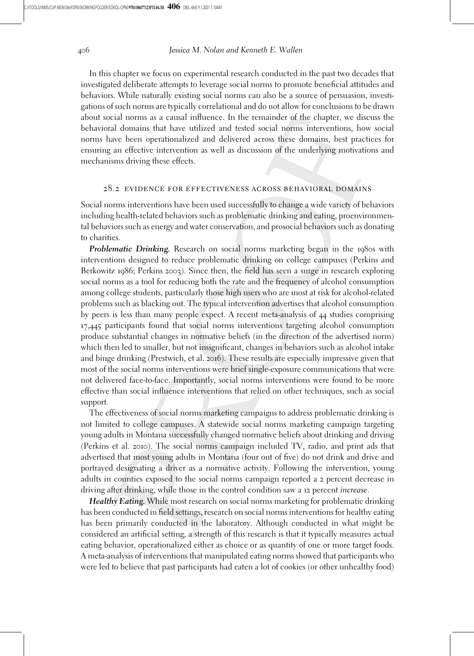In this chapter we focus on experimental research conducted in the past two decades that investigated deliberate attempts to leverage social norms to promote beneficial attitudes and behaviors. While naturally existing social norms can also be a source of persuasion, investigations of such norms are typically correlational and do not allow for conclusions to be drawn about social norms as a causal influence. In the remainder of the chapter, we discuss the behavioral domains that have utilized and tested social norms interventions, how social norms have been operationalized and delivered across these domains, best practices for ensuring an effective intervention as well as discussion of the underlying motivations and mechanisms driving these effects.

### 28.2 evidence for effectiveness across behavioral domains

Social norms interventions have been used successfully to change a wide variety of behaviors including health-related behaviors such as problematic drinking and eating, proenvironmental behaviors such as energy and water conservation, and prosocial behaviors such as donating to charities.

**Problematic Drinking.** Research on social norms marketing began in the 1980s with interventions designed to reduce problematic drinking on college campuses (Perkins and Berkowitz 1986; Perkins 2003). Since then, the field has seen a surge in research exploring social norms as a tool for reducing both the rate and the frequency of alcohol consumption among college students, particularly those high users who are most at risk for alcohol-related problems such as blacking out. The typical intervention advertises that alcohol consumption by peers is less than many people expect. A recent meta-analysis of 44 studies comprising 17,445 participants found that social norms interventions targeting alcohol consumption produce substantial changes in normative beliefs (in the direction of the advertised norm) which then led to smaller, but not insignificant, changes in behaviors such as alcohol intake and binge drinking (Prestwich, et al. 2016). These results are especially impressive given that most of the social norms interventions were brief single-exposure communications that were not delivered face-to-face. Importantly, social norms interventions were found to be more effective than social influence interventions that relied on other techniques, such as social support.

The effectiveness of social norms marketing campaigns to address problematic drinking is not limited to college campuses. A statewide social norms marketing campaign targeting young adults in Montana successfully changed normative beliefs about drinking and driving (Perkins et al. 2010). The social norms campaign included TV, radio, and print ads that advertised that most young adults in Montana (four out of five) do not drink and drive and portrayed designating a driver as a normative activity. Following the intervention, young adults in counties exposed to the social norms campaign reported a 2 percent decrease in driving after drinking, while those in the control condition saw a 12 percent increase.

Healthy Eating. While most research on social norms marketing for problematic drinking has been conducted in field settings, research on social norms interventions for healthy eating has been primarily conducted in the laboratory. Although conducted in what might be considered an artificial setting, a strength of this research is that it typically measures actual eating behavior, operationalized either as choice or as quantity of one or more target foods. A meta-analysis of interventions that manipulated eating norms showed that participants who were led to believe that past participants had eaten a lot of cookies (or other unhealthy food)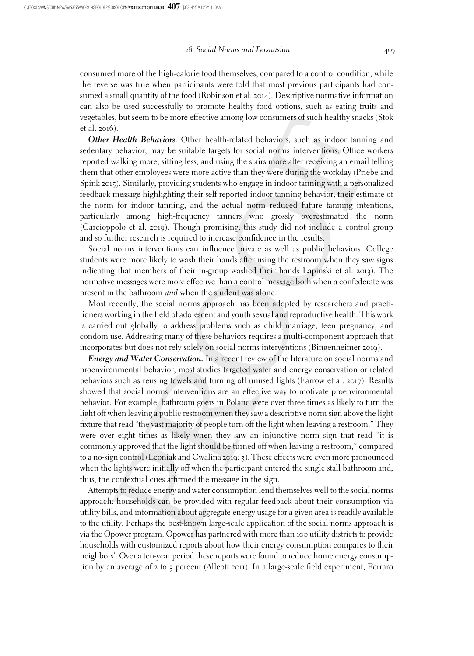consumed more of the high-calorie food themselves, compared to a control condition, while the reverse was true when participants were told that most previous participants had consumed a small quantity of the food (Robinson et al. 2014). Descriptive normative information can also be used successfully to promote healthy food options, such as eating fruits and vegetables, but seem to be more effective among low consumers of such healthy snacks (Stok et al. 2016).

Other Health Behaviors. Other health-related behaviors, such as indoor tanning and sedentary behavior, may be suitable targets for social norms interventions. Office workers reported walking more, sitting less, and using the stairs more after receiving an email telling them that other employees were more active than they were during the workday (Priebe and Spink 2015). Similarly, providing students who engage in indoor tanning with a personalized feedback message highlighting their self-reported indoor tanning behavior, their estimate of the norm for indoor tanning, and the actual norm reduced future tanning intentions, particularly among high-frequency tanners who grossly overestimated the norm (Carcioppolo et al. 2019). Though promising, this study did not include a control group and so further research is required to increase confidence in the results.

Social norms interventions can influence private as well as public behaviors. College students were more likely to wash their hands after using the restroom when they saw signs indicating that members of their in-group washed their hands Lapinski et al. 2013). The normative messages were more effective than a control message both when a confederate was present in the bathroom and when the student was alone.

Most recently, the social norms approach has been adopted by researchers and practitioners working in the field of adolescent and youth sexual and reproductive health. This work is carried out globally to address problems such as child marriage, teen pregnancy, and condom use. Addressing many of these behaviors requires a multi-component approach that incorporates but does not rely solely on social norms interventions (Bingenheimer 2019).

**Energy and Water Conservation.** In a recent review of the literature on social norms and proenvironmental behavior, most studies targeted water and energy conservation or related behaviors such as reusing towels and turning off unused lights (Farrow et al. 2017). Results showed that social norms interventions are an effective way to motivate proenvironmental behavior. For example, bathroom goers in Poland were over three times as likely to turn the light off when leaving a public restroom when they saw a descriptive norm sign above the light fixture that read "the vast majority of people turn off the light when leaving a restroom." They were over eight times as likely when they saw an injunctive norm sign that read "it is commonly approved that the light should be turned off when leaving a restroom," compared to a no-sign control (Leoniak and Cwalina 2019: 3). These effects were even more pronounced when the lights were initially off when the participant entered the single stall bathroom and, thus, the contextual cues affirmed the message in the sign.

Attempts to reduce energy and water consumption lend themselves well to the social norms approach: households can be provided with regular feedback about their consumption via utility bills, and information about aggregate energy usage for a given area is readily available to the utility. Perhaps the best-known large-scale application of the social norms approach is via the Opower program. Opower has partnered with more than 100 utility districts to provide households with customized reports about how their energy consumption compares to their neighbors'. Over a ten-year period these reports were found to reduce home energy consumption by an average of 2 to 5 percent (Allcott 2011). In a large-scale field experiment, Ferraro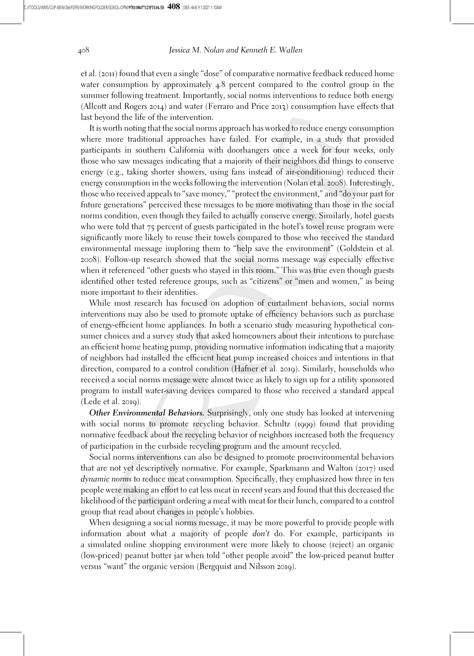et al. (2011) found that even a single "dose" of comparative normative feedback reduced home water consumption by approximately 4.8 percent compared to the control group in the summer following treatment. Importantly, social norms interventions to reduce both energy (Allcott and Rogers 2014) and water (Ferraro and Price 2013) consumption have effects that last beyond the life of the intervention.

It is worth noting that the social norms approach has worked to reduce energy consumption where more traditional approaches have failed. For example, in a study that provided participants in southern California with doorhangers once a week for four weeks, only those who saw messages indicating that a majority of their neighbors did things to conserve energy (e.g., taking shorter showers, using fans instead of air-conditioning) reduced their energy consumption in the weeks following the intervention (Nolan et al. 2008). Interestingly, those who received appeals to "save money," "protect the environment," and "do your part for future generations" perceived these messages to be more motivating than those in the social norms condition, even though they failed to actually conserve energy. Similarly, hotel guests who were told that 75 percent of guests participated in the hotel's towel reuse program were significantly more likely to reuse their towels compared to those who received the standard environmental message imploring them to "help save the environment" (Goldstein et al. 2008). Follow-up research showed that the social norms message was especially effective when it referenced "other guests who stayed in this room." This was true even though guests identified other tested reference groups, such as "citizens" or "men and women," as being more important to their identities.

While most research has focused on adoption of curtailment behaviors, social norms interventions may also be used to promote uptake of efficiency behaviors such as purchase of energy-efficient home appliances. In both a scenario study measuring hypothetical consumer choices and a survey study that asked homeowners about their intentions to purchase an efficient home heating pump, providing normative information indicating that a majority of neighbors had installed the efficient heat pump increased choices and intentions in that direction, compared to a control condition (Hafner et al. 2019). Similarly, households who received a social norms message were almost twice as likely to sign up for a utility sponsored program to install water-saving devices compared to those who received a standard appeal (Lede et al. 2019).

Other Environmental Behaviors. Surprisingly, only one study has looked at intervening with social norms to promote recycling behavior. Schultz (1999) found that providing normative feedback about the recycling behavior of neighbors increased both the frequency of participation in the curbside recycling program and the amount recycled.

Social norms interventions can also be designed to promote proenvironmental behaviors that are not yet descriptively normative. For example, Sparkmann and Walton (2017) used dynamic norms to reduce meat consumption. Specifically, they emphasized how three in ten people were making an effort to eat less meat in recent years and found that this decreased the likelihood of the participant ordering a meal with meat for their lunch, compared to a control group that read about changes in people's hobbies.

When designing a social norms message, it may be more powerful to provide people with information about what a majority of people don't do. For example, participants in a simulated online shopping environment were more likely to choose (reject) an organic (low-priced) peanut butter jar when told "other people avoid" the low-priced peanut butter versus "want" the organic version (Bergquist and Nilsson 2019).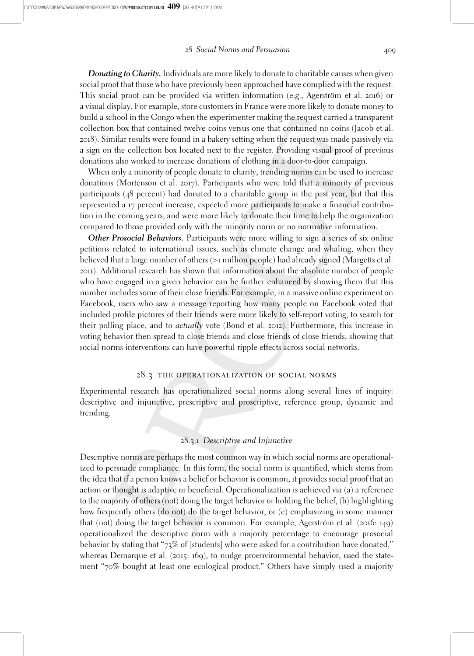Donating to Charity. Individuals are more likely to donate to charitable causes when given social proof that those who have previously been approached have complied with the request. This social proof can be provided via written information (e.g., Agerström et al. 2016) or a visual display. For example, store customers in France were more likely to donate money to build a school in the Congo when the experimenter making the request carried a transparent collection box that contained twelve coins versus one that contained no coins (Jacob et al. 2018). Similar results were found in a bakery setting when the request was made passively via a sign on the collection box located next to the register. Providing visual proof of previous donations also worked to increase donations of clothing in a door-to-door campaign.

When only a minority of people donate to charity, trending norms can be used to increase donations (Mortenson et al. 2017). Participants who were told that a minority of previous participants (48 percent) had donated to a charitable group in the past year, but that this represented a 17 percent increase, expected more participants to make a financial contribution in the coming years, and were more likely to donate their time to help the organization compared to those provided only with the minority norm or no normative information.

Other Prosocial Behaviors. Participants were more willing to sign a series of six online petitions related to international issues, such as climate change and whaling, when they believed that a large number of others (>1 million people) had already signed (Margetts et al. 2011). Additional research has shown that information about the absolute number of people who have engaged in a given behavior can be further enhanced by showing them that this number includes some of their close friends. For example, in a massive online experiment on Facebook, users who saw a message reporting how many people on Facebook voted that included profile pictures of their friends were more likely to self-report voting, to search for their polling place, and to actually vote (Bond et al. 2012). Furthermore, this increase in voting behavior then spread to close friends and close friends of close friends, showing that social norms interventions can have powerful ripple effects across social networks.

# 28.3 the operationalization of social norms

Experimental research has operationalized social norms along several lines of inquiry: descriptive and injunctive, prescriptive and proscriptive, reference group, dynamic and trending.

# 28.3.1 Descriptive and Injunctive

Descriptive norms are perhaps the most common way in which social norms are operationalized to persuade compliance. In this form, the social norm is quantified, which stems from the idea that if a person knows a belief or behavior is common, it provides social proof that an action or thought is adaptive or beneficial. Operationalization is achieved via (a) a reference to the majority of others (not) doing the target behavior or holding the belief, (b) highlighting how frequently others (do not) do the target behavior, or (c) emphasizing in some manner that (not) doing the target behavior is common. For example, Agerström et al.  $(2016: 149)$ operationalized the descriptive norm with a majority percentage to encourage prosocial behavior by stating that "73% of [students] who were asked for a contribution have donated," whereas Demarque et al. (2015: 169), to nudge proenvironmental behavior, used the statement "70% bought at least one ecological product." Others have simply used a majority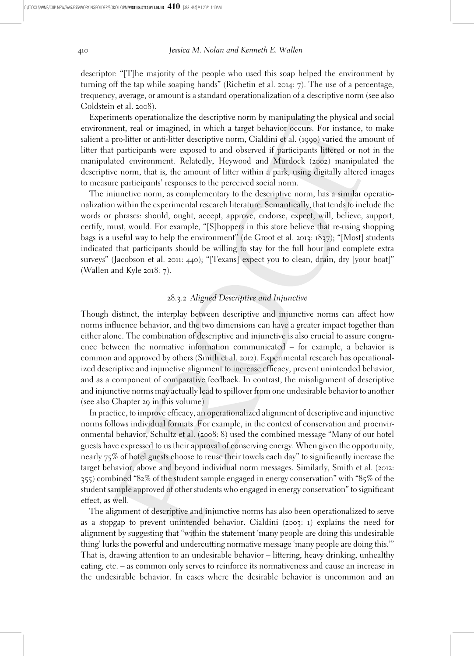descriptor: "[T]he majority of the people who used this soap helped the environment by turning off the tap while soaping hands" (Richetin et al. 2014:  $7$ ). The use of a percentage, frequency, average, or amount is a standard operationalization of a descriptive norm (see also Goldstein et al. 2008).

Experiments operationalize the descriptive norm by manipulating the physical and social environment, real or imagined, in which a target behavior occurs. For instance, to make salient a pro-litter or anti-litter descriptive norm, Cialdini et al. (1990) varied the amount of litter that participants were exposed to and observed if participants littered or not in the manipulated environment. Relatedly, Heywood and Murdock (2002) manipulated the descriptive norm, that is, the amount of litter within a park, using digitally altered images to measure participants' responses to the perceived social norm.

The injunctive norm, as complementary to the descriptive norm, has a similar operationalization within the experimental research literature. Semantically, that tends to include the words or phrases: should, ought, accept, approve, endorse, expect, will, believe, support, certify, must, would. For example, "[S]hoppers in this store believe that re-using shopping bags is a useful way to help the environment" (de Groot et al. 2013:  $1837$ ); "[Most] students indicated that participants should be willing to stay for the full hour and complete extra surveys" (Jacobson et al. 2011: 440); "[Texans] expect you to clean, drain, dry [your boat]" (Wallen and Kyle 2018: 7).

### 28.3.2 Aligned Descriptive and Injunctive

Though distinct, the interplay between descriptive and injunctive norms can affect how norms influence behavior, and the two dimensions can have a greater impact together than either alone. The combination of descriptive and injunctive is also crucial to assure congruence between the normative information communicated – for example, a behavior is common and approved by others (Smith et al. 2012). Experimental research has operationalized descriptive and injunctive alignment to increase efficacy, prevent unintended behavior, and as a component of comparative feedback. In contrast, the misalignment of descriptive and injunctive norms may actually lead to spillover from one undesirable behavior to another (see also Chapter 29 in this volume)

In practice, to improve efficacy, an operationalized alignment of descriptive and injunctive norms follows individual formats. For example, in the context of conservation and proenvironmental behavior, Schultz et al. (2008: 8) used the combined message "Many of our hotel guests have expressed to us their approval of conserving energy. When given the opportunity, nearly 75% of hotel guests choose to reuse their towels each day" to significantly increase the target behavior, above and beyond individual norm messages. Similarly, Smith et al. (2012: 355) combined "82% of the student sample engaged in energy conservation" with "85% of the student sample approved of other students who engaged in energy conservation" to significant effect, as well.

The alignment of descriptive and injunctive norms has also been operationalized to serve as a stopgap to prevent unintended behavior. Cialdini (2003: 1) explains the need for alignment by suggesting that "within the statement 'many people are doing this undesirable thing' lurks the powerful and undercutting normative message 'many people are doing this.'" That is, drawing attention to an undesirable behavior – littering, heavy drinking, unhealthy eating, etc. – as common only serves to reinforce its normativeness and cause an increase in the undesirable behavior. In cases where the desirable behavior is uncommon and an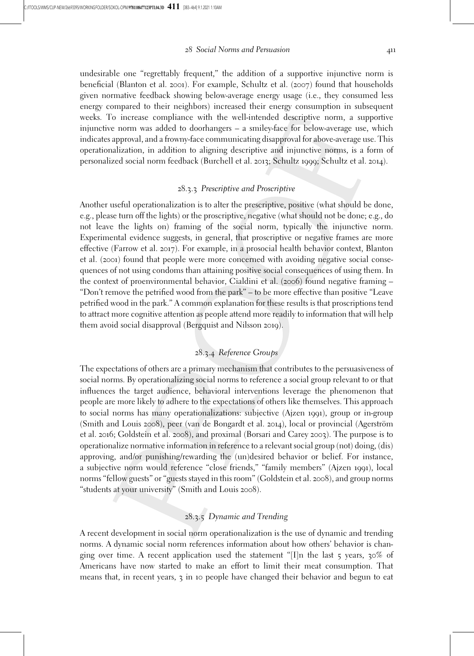undesirable one "regrettably frequent," the addition of a supportive injunctive norm is beneficial (Blanton et al. 2001). For example, Schultz et al. (2007) found that households given normative feedback showing below-average energy usage (i.e., they consumed less energy compared to their neighbors) increased their energy consumption in subsequent weeks. To increase compliance with the well-intended descriptive norm, a supportive injunctive norm was added to doorhangers – a smiley-face for below-average use, which indicates approval, and a frowny-face communicating disapproval for above-average use. This operationalization, in addition to aligning descriptive and injunctive norms, is a form of personalized social norm feedback (Burchell et al. 2013; Schultz 1999; Schultz et al. 2014).

# 28.3.3 Prescriptive and Proscriptive

Another useful operationalization is to alter the prescriptive, positive (what should be done, e.g., please turn off the lights) or the proscriptive, negative (what should not be done; e.g., do not leave the lights on) framing of the social norm, typically the injunctive norm. Experimental evidence suggests, in general, that proscriptive or negative frames are more effective (Farrow et al. 2017). For example, in a prosocial health behavior context, Blanton et al. (2001) found that people were more concerned with avoiding negative social consequences of not using condoms than attaining positive social consequences of using them. In the context of proenvironmental behavior, Cialdini et al. (2006) found negative framing – "Don't remove the petrified wood from the park" – to be more effective than positive "Leave petrified wood in the park." A common explanation for these results is that proscriptions tend to attract more cognitive attention as people attend more readily to information that will help them avoid social disapproval (Bergquist and Nilsson 2019).

# 28.3.4 Reference Groups

The expectations of others are a primary mechanism that contributes to the persuasiveness of social norms. By operationalizing social norms to reference a social group relevant to or that influences the target audience, behavioral interventions leverage the phenomenon that people are more likely to adhere to the expectations of others like themselves. This approach to social norms has many operationalizations: subjective (Ajzen 1991), group or in-group (Smith and Louis 2008), peer (van de Bongardt et al. 2014), local or provincial (Agerström et al. 2016; Goldstein et al. 2008), and proximal (Borsari and Carey 2003). The purpose is to operationalize normative information in reference to a relevant social group (not) doing, (dis) approving, and/or punishing/rewarding the (un)desired behavior or belief. For instance, a subjective norm would reference "close friends," "family members" (Ajzen 1991), local norms "fellow guests" or "guests stayed in this room" (Goldstein et al. 2008), and group norms "students at your university" (Smith and Louis 2008).

# 28.3.5 Dynamic and Trending

A recent development in social norm operationalization is the use of dynamic and trending norms. A dynamic social norm references information about how others' behavior is changing over time. A recent application used the statement "[I]n the last  $\zeta$  years,  $30\%$  of Americans have now started to make an effort to limit their meat consumption. That means that, in recent years, 3 in 10 people have changed their behavior and begun to eat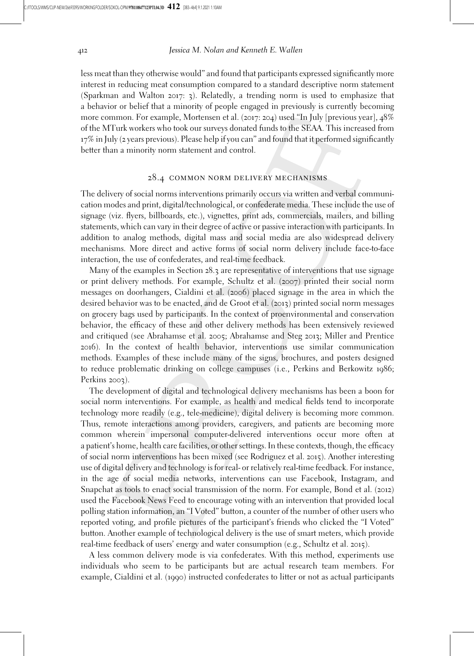less meat than they otherwise would" and found that participants expressed significantly more interest in reducing meat consumption compared to a standard descriptive norm statement (Sparkman and Walton 2017: 3). Relatedly, a trending norm is used to emphasize that a behavior or belief that a minority of people engaged in previously is currently becoming more common. For example, Mortensen et al. (2017: 204) used "In July [previous year], 48% of the MTurk workers who took our surveys donated funds to the SEAA. This increased from 17% in July (2 years previous). Please help if you can" and found that it performed significantly better than a minority norm statement and control.

# 28.4 common norm delivery mechanisms

The delivery of social norms interventions primarily occurs via written and verbal communication modes and print, digital/technological, or confederate media. These include the use of signage (viz. flyers, billboards, etc.), vignettes, print ads, commercials, mailers, and billing statements, which can vary in their degree of active or passive interaction with participants. In addition to analog methods, digital mass and social media are also widespread delivery mechanisms. More direct and active forms of social norm delivery include face-to-face interaction, the use of confederates, and real-time feedback.

Many of the examples in Section 28.3 are representative of interventions that use signage or print delivery methods. For example, Schultz et al. (2007) printed their social norm messages on doorhangers, Cialdini et al. (2006) placed signage in the area in which the desired behavior was to be enacted, and de Groot et al. (2013) printed social norm messages on grocery bags used by participants. In the context of proenvironmental and conservation behavior, the efficacy of these and other delivery methods has been extensively reviewed and critiqued (see Abrahamse et al. 2005; Abrahamse and Steg 2013; Miller and Prentice 2016). In the context of health behavior, interventions use similar communication methods. Examples of these include many of the signs, brochures, and posters designed to reduce problematic drinking on college campuses (i.e., Perkins and Berkowitz 1986; Perkins 2003).

The development of digital and technological delivery mechanisms has been a boon for social norm interventions. For example, as health and medical fields tend to incorporate technology more readily (e.g., tele-medicine), digital delivery is becoming more common. Thus, remote interactions among providers, caregivers, and patients are becoming more common wherein impersonal computer-delivered interventions occur more often at a patient's home, health care facilities, or other settings. In these contexts, though, the efficacy of social norm interventions has been mixed (see Rodriguez et al. 2015). Another interesting use of digital delivery and technology is for real- or relatively real-time feedback. For instance, in the age of social media networks, interventions can use Facebook, Instagram, and Snapchat as tools to enact social transmission of the norm. For example, Bond et al. (2012) used the Facebook News Feed to encourage voting with an intervention that provided local polling station information, an "I Voted" button, a counter of the number of other users who reported voting, and profile pictures of the participant's friends who clicked the "I Voted" button. Another example of technological delivery is the use of smart meters, which provide real-time feedback of users' energy and water consumption (e.g., Schultz et al. 2015).

A less common delivery mode is via confederates. With this method, experiments use individuals who seem to be participants but are actual research team members. For example, Cialdini et al. (1990) instructed confederates to litter or not as actual participants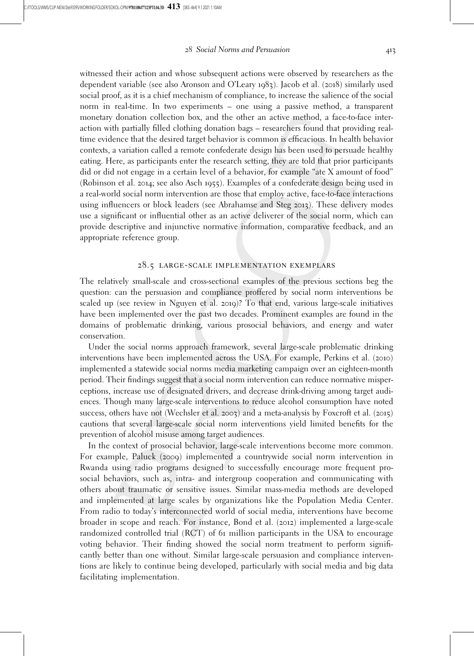witnessed their action and whose subsequent actions were observed by researchers as the dependent variable (see also Aronson and O'Leary 1983). Jacob et al. (2018) similarly used social proof, as it is a chief mechanism of compliance, to increase the salience of the social norm in real-time. In two experiments – one using a passive method, a transparent monetary donation collection box, and the other an active method, a face-to-face interaction with partially filled clothing donation bags – researchers found that providing realtime evidence that the desired target behavior is common is efficacious. In health behavior contexts, a variation called a remote confederate design has been used to persuade healthy eating. Here, as participants enter the research setting, they are told that prior participants did or did not engage in a certain level of a behavior, for example "ate X amount of food" (Robinson et al. 2014; see also Asch 1955). Examples of a confederate design being used in a real-world social norm intervention are those that employ active, face-to-face interactions using influencers or block leaders (see Abrahamse and Steg 2013). These delivery modes use a significant or influential other as an active deliverer of the social norm, which can provide descriptive and injunctive normative information, comparative feedback, and an appropriate reference group.

# 28.5 large-scale implementation exemplars

The relatively small-scale and cross-sectional examples of the previous sections beg the question: can the persuasion and compliance proffered by social norm interventions be scaled up (see review in Nguyen et al. 2019)? To that end, various large-scale initiatives have been implemented over the past two decades. Prominent examples are found in the domains of problematic drinking, various prosocial behaviors, and energy and water conservation.

Under the social norms approach framework, several large-scale problematic drinking interventions have been implemented across the USA. For example, Perkins et al. (2010) implemented a statewide social norms media marketing campaign over an eighteen-month period. Their findings suggest that a social norm intervention can reduce normative misperceptions, increase use of designated drivers, and decrease drink-driving among target audiences. Though many large-scale interventions to reduce alcohol consumption have noted success, others have not (Wechsler et al. 2003) and a meta-analysis by Foxcroft et al. (2015) cautions that several large-scale social norm interventions yield limited benefits for the prevention of alcohol misuse among target audiences.

In the context of prosocial behavior, large-scale interventions become more common. For example, Paluck (2009) implemented a countrywide social norm intervention in Rwanda using radio programs designed to successfully encourage more frequent prosocial behaviors, such as, intra- and intergroup cooperation and communicating with others about traumatic or sensitive issues. Similar mass-media methods are developed and implemented at large scales by organizations like the Population Media Center. From radio to today's interconnected world of social media, interventions have become broader in scope and reach. For instance, Bond et al. (2012) implemented a large-scale randomized controlled trial (RCT) of 61 million participants in the USA to encourage voting behavior. Their finding showed the social norm treatment to perform significantly better than one without. Similar large-scale persuasion and compliance interventions are likely to continue being developed, particularly with social media and big data facilitating implementation.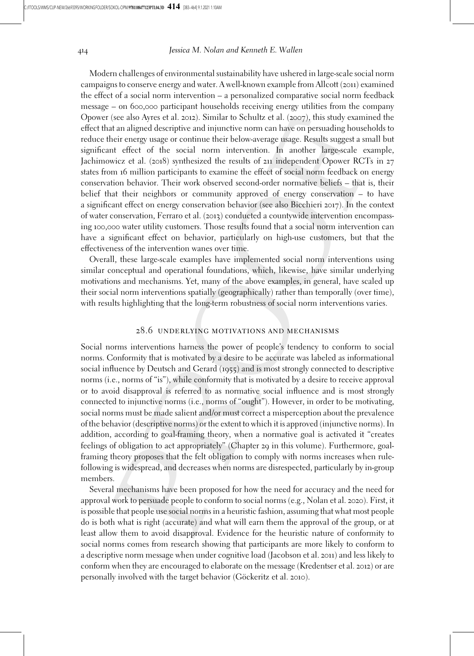Modern challenges of environmental sustainability have ushered in large-scale social norm campaigns to conserve energy and water. A well-known example from Allcott (2011) examined the effect of a social norm intervention – a personalized comparative social norm feedback message – on 600,000 participant households receiving energy utilities from the company Opower (see also Ayres et al. 2012). Similar to Schultz et al. (2007), this study examined the effect that an aligned descriptive and injunctive norm can have on persuading households to reduce their energy usage or continue their below-average usage. Results suggest a small but significant effect of the social norm intervention. In another large-scale example, Jachimowicz et al. (2018) synthesized the results of 211 independent Opower RCTs in 27 states from 16 million participants to examine the effect of social norm feedback on energy conservation behavior. Their work observed second-order normative beliefs – that is, their belief that their neighbors or community approved of energy conservation – to have a significant effect on energy conservation behavior (see also Bicchieri 2017). In the context of water conservation, Ferraro et al. (2013) conducted a countywide intervention encompassing 100,000 water utility customers. Those results found that a social norm intervention can have a significant effect on behavior, particularly on high-use customers, but that the effectiveness of the intervention wanes over time.

Overall, these large-scale examples have implemented social norm interventions using similar conceptual and operational foundations, which, likewise, have similar underlying motivations and mechanisms. Yet, many of the above examples, in general, have scaled up their social norm interventions spatially (geographically) rather than temporally (over time), with results highlighting that the long-term robustness of social norm interventions varies.

### 28.6 underlying motivations and mechanisms

Social norms interventions harness the power of people's tendency to conform to social norms. Conformity that is motivated by a desire to be accurate was labeled as informational social influence by Deutsch and Gerard (1955) and is most strongly connected to descriptive norms (i.e., norms of "is"), while conformity that is motivated by a desire to receive approval or to avoid disapproval is referred to as normative social influence and is most strongly connected to injunctive norms (i.e., norms of "ought"). However, in order to be motivating, social norms must be made salient and/or must correct a misperception about the prevalence of the behavior (descriptive norms) or the extent to which it is approved (injunctive norms). In addition, according to goal-framing theory, when a normative goal is activated it "creates feelings of obligation to act appropriately" (Chapter 29 in this volume). Furthermore, goalframing theory proposes that the felt obligation to comply with norms increases when rulefollowing is widespread, and decreases when norms are disrespected, particularly by in-group members.

Several mechanisms have been proposed for how the need for accuracy and the need for approval work to persuade people to conform to social norms (e.g., Nolan et al. 2020). First, it is possible that people use social norms in a heuristic fashion, assuming that what most people do is both what is right (accurate) and what will earn them the approval of the group, or at least allow them to avoid disapproval. Evidence for the heuristic nature of conformity to social norms comes from research showing that participants are more likely to conform to a descriptive norm message when under cognitive load (Jacobson et al. 2011) and less likely to conform when they are encouraged to elaborate on the message (Kredentser et al. 2012) or are personally involved with the target behavior (Göckeritz et al. 2010).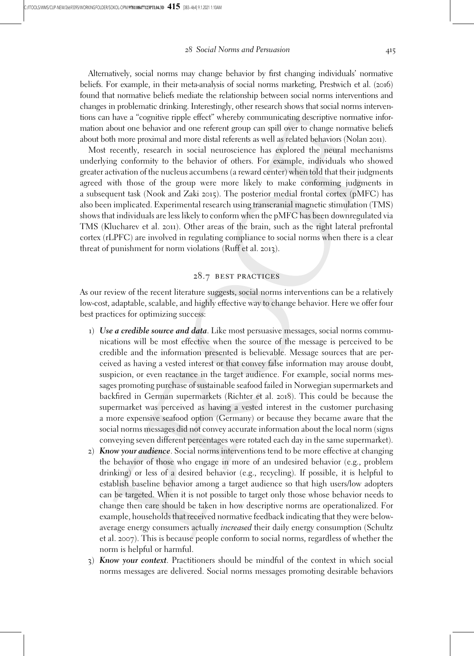Alternatively, social norms may change behavior by first changing individuals' normative beliefs. For example, in their meta-analysis of social norms marketing, Prestwich et al. (2016) found that normative beliefs mediate the relationship between social norms interventions and changes in problematic drinking. Interestingly, other research shows that social norms interventions can have a "cognitive ripple effect" whereby communicating descriptive normative information about one behavior and one referent group can spill over to change normative beliefs about both more proximal and more distal referents as well as related behaviors (Nolan 2011).

Most recently, research in social neuroscience has explored the neural mechanisms underlying conformity to the behavior of others. For example, individuals who showed greater activation of the nucleus accumbens (a reward center) when told that their judgments agreed with those of the group were more likely to make conforming judgments in a subsequent task (Nook and Zaki 2015). The posterior medial frontal cortex (pMFC) has also been implicated. Experimental research using transcranial magnetic stimulation (TMS) shows that individuals are less likely to conform when the pMFC has been downregulated via TMS (Klucharev et al. 2011). Other areas of the brain, such as the right lateral prefrontal cortex (rLPFC) are involved in regulating compliance to social norms when there is a clear threat of punishment for norm violations (Ruff et al. 2013).

# 28.7 best practices

As our review of the recent literature suggests, social norms interventions can be a relatively low-cost, adaptable, scalable, and highly effective way to change behavior. Here we offer four best practices for optimizing success:

- 1) Use a credible source and data. Like most persuasive messages, social norms communications will be most effective when the source of the message is perceived to be credible and the information presented is believable. Message sources that are perceived as having a vested interest or that convey false information may arouse doubt, suspicion, or even reactance in the target audience. For example, social norms messages promoting purchase of sustainable seafood failed in Norwegian supermarkets and backfired in German supermarkets (Richter et al. 2018). This could be because the supermarket was perceived as having a vested interest in the customer purchasing a more expensive seafood option (Germany) or because they became aware that the social norms messages did not convey accurate information about the local norm (signs conveying seven different percentages were rotated each day in the same supermarket).
- 2) Know your *audience*. Social norms interventions tend to be more effective at changing the behavior of those who engage in more of an undesired behavior (e.g., problem drinking) or less of a desired behavior (e.g., recycling). If possible, it is helpful to establish baseline behavior among a target audience so that high users/low adopters can be targeted. When it is not possible to target only those whose behavior needs to change then care should be taken in how descriptive norms are operationalized. For example, households that received normative feedback indicating that they were belowaverage energy consumers actually *increased* their daily energy consumption (Schultz et al. 2007). This is because people conform to social norms, regardless of whether the norm is helpful or harmful.
- 3) Know your context. Practitioners should be mindful of the context in which social norms messages are delivered. Social norms messages promoting desirable behaviors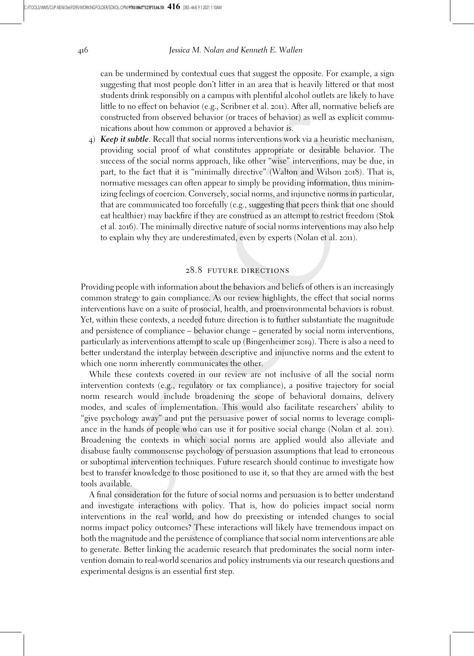can be undermined by contextual cues that suggest the opposite. For example, a sign suggesting that most people don't litter in an area that is heavily littered or that most students drink responsibly on a campus with plentiful alcohol outlets are likely to have little to no effect on behavior (e.g., Scribner et al. 2011). After all, normative beliefs are constructed from observed behavior (or traces of behavior) as well as explicit communications about how common or approved a behavior is.

4) Keep it subtle. Recall that social norms interventions work via a heuristic mechanism, providing social proof of what constitutes appropriate or desirable behavior. The success of the social norms approach, like other "wise" interventions, may be due, in part, to the fact that it is "minimally directive" (Walton and Wilson 2018). That is, normative messages can often appear to simply be providing information, thus minimizing feelings of coercion. Conversely, social norms, and injunctive norms in particular, that are communicated too forcefully (e.g., suggesting that peers think that one should eat healthier) may backfire if they are construed as an attempt to restrict freedom (Stok et al. 2016). The minimally directive nature of social norms interventions may also help to explain why they are underestimated, even by experts (Nolan et al. 2011).

# 28.8 future directions

Providing people with information about the behaviors and beliefs of others is an increasingly common strategy to gain compliance. As our review highlights, the effect that social norms interventions have on a suite of prosocial, health, and proenvironmental behaviors is robust. Yet, within these contexts, a needed future direction is to further substantiate the magnitude and persistence of compliance – behavior change – generated by social norm interventions, particularly as interventions attempt to scale up (Bingenheimer 2019). There is also a need to better understand the interplay between descriptive and injunctive norms and the extent to which one norm inherently communicates the other.

While these contexts covered in our review are not inclusive of all the social norm intervention contexts (e.g., regulatory or tax compliance), a positive trajectory for social norm research would include broadening the scope of behavioral domains, delivery modes, and scales of implementation. This would also facilitate researchers' ability to "give psychology away" and put the persuasive power of social norms to leverage compliance in the hands of people who can use it for positive social change (Nolan et al. 2011). Broadening the contexts in which social norms are applied would also alleviate and disabuse faulty commonsense psychology of persuasion assumptions that lead to erroneous or suboptimal intervention techniques. Future research should continue to investigate how best to transfer knowledge to those positioned to use it, so that they are armed with the best tools available.

A final consideration for the future of social norms and persuasion is to better understand and investigate interactions with policy. That is, how do policies impact social norm interventions in the real world, and how do preexisting or intended changes to social norms impact policy outcomes? These interactions will likely have tremendous impact on both the magnitude and the persistence of compliance that social norm interventions are able to generate. Better linking the academic research that predominates the social norm intervention domain to real-world scenarios and policy instruments via our research questions and experimental designs is an essential first step.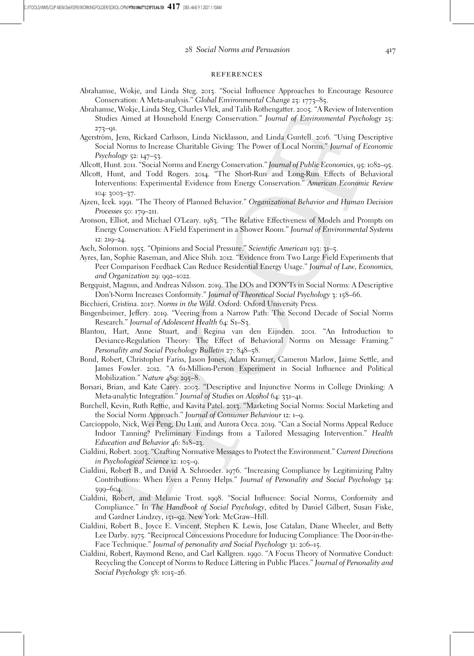#### **REFERENCES**

- Abrahamse, Wokje, and Linda Steg. 2013. "Social Influence Approaches to Encourage Resource Conservation: A Meta-analysis." Global Environmental Change 23: 1773–85.
- Abrahamse, Wokje, Linda Steg, Charles Vlek, and Talib Rothengatter. 2005. "A Review of Intervention Studies Aimed at Household Energy Conservation." Journal of Environmental Psychology 25: 273–91.
- Agerström, Jens, Rickard Carlsson, Linda Nicklasson, and Linda Guntell. 2016. "Using Descriptive Social Norms to Increase Charitable Giving: The Power of Local Norms." Journal of Economic Psychology 52: 147–53.

Allcott, Hunt. 2011. "Social Norms and Energy Conservation." Journal of Public Economics, 95: 1082–95.

- Allcott, Hunt, and Todd Rogers. 2014. "The Short-Run and Long-Run Effects of Behavioral Interventions: Experimental Evidence from Energy Conservation." American Economic Review 104: 3003–37.
- Ajzen, Icek. 1991. "The Theory of Planned Behavior." Organizational Behavior and Human Decision Processes 50: 179–211.
- Aronson, Elliot, and Michael O'Leary. 1983. "The Relative Effectiveness of Models and Prompts on Energy Conservation: A Field Experiment in a Shower Room." Journal of Environmental Systems 12: 219–24.
- Asch, Solomon. 1955. "Opinions and Social Pressure." Scientific American 193: 31–5.
- Ayres, Ian, Sophie Raseman, and Alice Shih. 2012. "Evidence from Two Large Field Experiments that Peer Comparison Feedback Can Reduce Residential Energy Usage." Journal of Law, Economics, and Organization 29: 992–1022.
- Bergquist, Magnus, and Andreas Nilsson. 2019. The DOs and DON'Ts in Social Norms: A Descriptive Don't-Norm Increases Conformity." Journal of Theoretical Social Psychology 3: 158–66.
- Bicchieri, Cristina. 2017. Norms in the Wild. Oxford: Oxford University Press.
- Bingenheimer, Jeffery. 2019. "Veering from a Narrow Path: The Second Decade of Social Norms Research." Journal of Adolescent Health 64: S1–S3.
- Blanton, Hart, Anne Stuart, and Regina van den Eijnden. 2001. "An Introduction to Deviance-Regulation Theory: The Effect of Behavioral Norms on Message Framing." Personality and Social Psychology Bulletin 27: 848–58.
- Bond, Robert, Christopher Fariss, Jason Jones, Adam Kramer, Cameron Marlow, Jaime Settle, and James Fowler. 2012. "A 61-Million-Person Experiment in Social Influence and Political Mobilization." Nature 489: 295–8.
- Borsari, Brian, and Kate Carey. 2003. "Descriptive and Injunctive Norms in College Drinking: A Meta-analytic Integration." Journal of Studies on Alcohol 64: 331–41.
- Burchell, Kevin, Ruth Rettie, and Kavita Patel. 2013. "Marketing Social Norms: Social Marketing and the Social Norm Approach." Journal of Consumer Behaviour 12: 1–9.
- Carcioppolo, Nick, Wei Peng, Du Lun, and Aurora Occa. 2019. "Can a Social Norms Appeal Reduce Indoor Tanning? Preliminary Findings from a Tailored Messaging Intervention." Health Education and Behavior 46: 818–23.
- Cialdini, Robert. 2003. "Crafting Normative Messages to Protect the Environment." Current Directions in Psychological Science 12: 105–9.
- Cialdini, Robert B., and David A. Schroeder. 1976. "Increasing Compliance by Legitimizing Paltry Contributions: When Even a Penny Helps." Journal of Personality and Social Psychology 34: 599–604.
- Cialdini, Robert, and Melanie Trost. 1998. "Social Influence: Social Norms, Conformity and Compliance." In The Handbook of Social Psychology, edited by Daniel Gilbert, Susan Fiske, and Gardner Lindzey, 151–92. New York: McGraw–Hill.
- Cialdini, Robert B., Joyce E. Vincent, Stephen K. Lewis, Jose Catalan, Diane Wheeler, and Betty Lee Darby. 1975. "Reciprocal Concessions Procedure for Inducing Compliance: The Door-in-the-Face Technique." Journal of personality and Social Psychology 31: 206–15.
- Cialdini, Robert, Raymond Reno, and Carl Kallgren. 1990. "A Focus Theory of Normative Conduct: Recycling the Concept of Norms to Reduce Littering in Public Places." Journal of Personality and Social Psychology 58: 1015–26.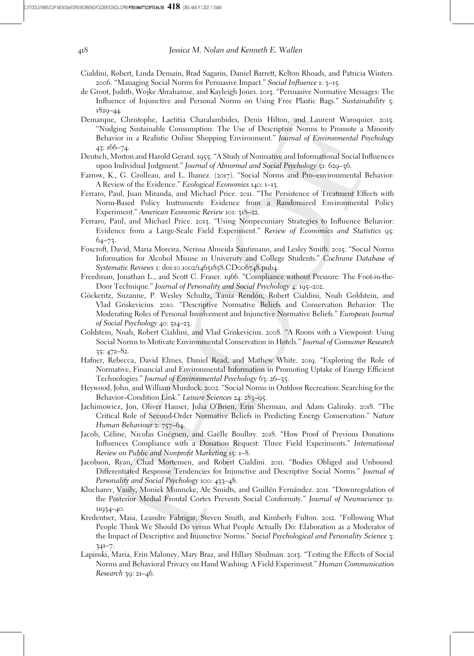- Cialdini, Robert, Linda Demain, Brad Sagarin, Daniel Barrett, Kelton Rhoads, and Patricia Winters. 2006. "Managing Social Norms for Persuasive Impact." Social Influence 1: 3–15.
- de Groot, Judith, Wojke Abrahamse, and Kayleigh Jones. 2013. "Persuasive Normative Messages: The Influence of Injunctive and Personal Norms on Using Free Plastic Bags." Sustainability 5: 1829–44.
- Demarque, Christophe, Laetitia Charalambides, Denis Hilton, and Laurent Waroquier. 2015. "Nudging Sustainable Consumption: The Use of Descriptive Norms to Promote a Minority Behavior in a Realistic Online Shopping Environment." Journal of Environmental Psychology 43: 166–74.
- Deutsch, Morton and Harold Gerard. 1955. "A Study of Normative and Informational Social Influences upon Individual Judgment." Journal of Abnormal and Social Psychology 51: 629–36.
- Farrow, K., G. Grolleau, and L. Ibanez. (2017). "Social Norms and Pro–environmental Behavior: A Review of the Evidence." Ecological Economics 140: 1–13.
- Ferraro, Paul, Juan Miranda, and Michael Price. 2011. "The Persistence of Treatment Effects with Norm-Based Policy Instruments: Evidence from a Randomized Environmental Policy Experiment." American Economic Review 101: 318–22.
- Ferraro, Paul, and Michael Price. 2013. "Using Nonpecuniary Strategies to Influence Behavior: Evidence from a Large-Scale Field Experiment." Review of Economics and Statistics 95:  $64 - 73$
- Foxcroft, David, Maria Moreira, Nerissa Almeida Santimano, and Lesley Smith. 2015. "Social Norms Information for Alcohol Misuse in University and College Students." Cochrane Database of Systematic Reviews 1: doi:10.1002/14651858.CD006748.pub4.
- Freedman, Jonathan L., and Scott C. Fraser. 1966. "Compliance without Pressure: The Foot-in-the-Door Technique." Journal of Personality and Social Psychology 4: 195–202.
- Göckeritz, Suzanne, P. Wesley Schultz, Tania Rendón, Robert Cialdini, Noah Goldstein, and Vlad Griskevicius. 2010. "Descriptive Normative Beliefs and Conservation Behavior: The Moderating Roles of Personal Involvement and Injunctive Normative Beliefs." European Journal of Social Psychology 40: 514–23.
- Goldstein, Noah, Robert Cialdini, and Vlad Griskevicius. 2008. "A Room with a Viewpoint: Using Social Norms to Motivate Environmental Conservation in Hotels." Journal of Consumer Research 35: 472–82.
- Hafner, Rebecca, David Elmes, Daniel Read, and Mathew White. 2019. "Exploring the Role of Normative, Financial and Environmental Information in Promoting Uptake of Energy Efficient Technologies." Journal of Environmental Psychology 63: 26–35.
- Heywood, John, and William Murdock. 2002. "Social Norms in Outdoor Recreation: Searching for the Behavior–Condition Link." Leisure Sciences 24: 283–95.
- Jachimowicz, Jon, Oliver Hauser, Julia O'Brien, Erin Sherman, and Adam Galinsky. 2018. "The Critical Role of Second-Order Normative Beliefs in Predicting Energy Conservation." Nature Human Behaviour 2: 757–64.
- Jacob, Céline, Nicolas Guéguen, and Gaëlle Boulbry. 2018. "How Proof of Previous Donations Influences Compliance with a Donation Request: Three Field Experiments." International Review on Public and Nonprofit Marketing 15: 1–8.
- Jacobson, Ryan, Chad Mortensen, and Robert Cialdini. 2011. "Bodies Obliged and Unbound: Differentiated Response Tendencies for Injunctive and Descriptive Social Norms." Journal of Personality and Social Psychology 100: 433–48.
- Klucharev, Vasily, Moniek Munneke, Ale Smidts, and Guillén Fernández. 2011. "Downregulation of the Posterior Medial Frontal Cortex Prevents Social Conformity." Journal of Neuroscience 31: 11934–40.
- Kredentser, Maia, Leandre Fabrigar, Steven Smith, and Kimberly Fulton. 2012. "Following What People Think We Should Do versus What People Actually Do: Elaboration as a Moderator of the Impact of Descriptive and Injunctive Norms." Social Psychological and Personality Science 3: 341–7.
- Lapinski, Maria, Erin Maloney, Mary Braz, and Hillary Shulman. 2013. "Testing the Effects of Social Norms and Behavioral Privacy on Hand Washing: A Field Experiment." Human Communication Research 39: 21–46.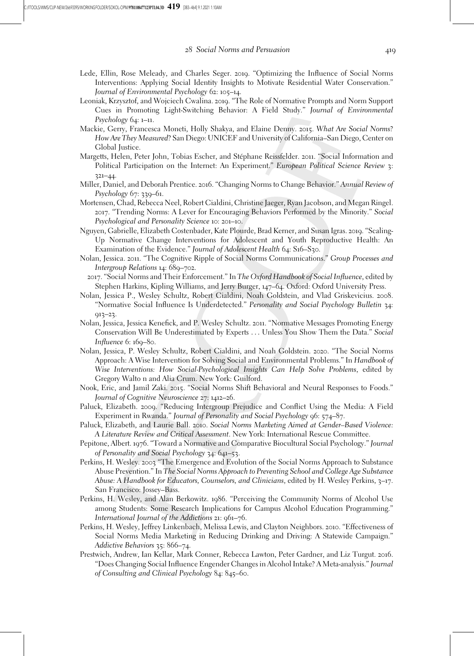- Lede, Ellin, Rose Meleady, and Charles Seger. 2019. "Optimizing the Influence of Social Norms Interventions: Applying Social Identity Insights to Motivate Residential Water Conservation." Journal of Environmental Psychology 62: 105–14.
- Leoniak, Krzysztof, and Wojciech Cwalina. 2019. "The Role of Normative Prompts and Norm Support Cues in Promoting Light-Switching Behavior: A Field Study." Journal of Environmental Psychology 64: 1–11.
- Mackie, Gerry, Francesca Moneti, Holly Shakya, and Elaine Denny. 2015. What Are Social Norms? How Are They Measured? San Diego: UNICEF and University of California–San Diego, Center on Global Justice.
- Margetts, Helen, Peter John, Tobias Escher, and Stéphane Reissfelder. 2011. "Social Information and Political Participation on the Internet: An Experiment." European Political Science Review 3: 321–44.
- Miller, Daniel, and Deborah Prentice. 2016. "Changing Norms to Change Behavior." Annual Review of Psychology 67: 339–61.
- Mortensen, Chad, Rebecca Neel, Robert Cialdini, Christine Jaeger, Ryan Jacobson, and Megan Ringel. 2017. "Trending Norms: A Lever for Encouraging Behaviors Performed by the Minority." Social Psychological and Personality Science 10: 201–10.
- Nguyen, Gabrielle, Elizabeth Costenbader, Kate Plourde, Brad Kerner, and Susan Igras. 2019. "Scaling-Up Normative Change Interventions for Adolescent and Youth Reproductive Health: An Examination of the Evidence." Journal of Adolescent Health 64: S16-S30.
- Nolan, Jessica. 2011. "The Cognitive Ripple of Social Norms Communications." Group Processes and Intergroup Relations 14: 689-702.
- 2017. "Social Norms and Their Enforcement." In The Oxford Handbook of Social Influence, edited by Stephen Harkins, Kipling Williams, and Jerry Burger, 147–64. Oxford: Oxford University Press.
- Nolan, Jessica P., Wesley Schultz, Robert Cialdini, Noah Goldstein, and Vlad Griskevicius. 2008. "Normative Social Influence Is Underdetected." Personality and Social Psychology Bulletin 34: 913–23.
- Nolan, Jessica, Jessica Kenefick, and P. Wesley Schultz. 2011. "Normative Messages Promoting Energy Conservation Will Be Underestimated by Experts ... Unless You Show Them the Data." Social Influence 6: 169–80.
- Nolan, Jessica, P. Wesley Schultz, Robert Cialdini, and Noah Goldstein. 2020. "The Social Norms Approach: A Wise Intervention for Solving Social and Environmental Problems." In Handbook of Wise Interventions: How Social-Psychological Insights Can Help Solve Problems, edited by Gregory Walto n and Alia Crum. New York: Guilford.
- Nook, Eric, and Jamil Zaki. 2015. "Social Norms Shift Behavioral and Neural Responses to Foods." Journal of Cognitive Neuroscience 27: 1412–26.
- Paluck, Elizabeth. 2009. "Reducing Intergroup Prejudice and Conflict Using the Media: A Field Experiment in Rwanda." Journal of Personality and Social Psychology 96: 574–87.
- Paluck, Elizabeth, and Laurie Ball. 2010. Social Norms Marketing Aimed at Gender–Based Violence: A Literature Review and Critical Assessment. New York: International Rescue Committee.
- Pepitone, Albert. 1976. "Toward a Normative and Comparative Biocultural Social Psychology." Journal of Personality and Social Psychology 34: 641–53.
- Perkins, H. Wesley. 2003 "The Emergence and Evolution of the Social Norms Approach to Substance Abuse Prevention." In The Social Norms Approach to Preventing School and College Age Substance Abuse: A Handbook for Educators, Counselors, and Clinicians, edited by H. Wesley Perkins, 3–17. San Francisco: Jossey–Bass.
- Perkins, H. Wesley, and Alan Berkowitz. 1986. "Perceiving the Community Norms of Alcohol Use among Students: Some Research Implications for Campus Alcohol Education Programming." International Journal of the Addictions 21: 961–76.
- Perkins, H. Wesley, Jeffrey Linkenbach, Melissa Lewis, and Clayton Neighbors. 2010. "Effectiveness of Social Norms Media Marketing in Reducing Drinking and Driving: A Statewide Campaign." Addictive Behaviors 35: 866–74.
- Prestwich, Andrew, Ian Kellar, Mark Conner, Rebecca Lawton, Peter Gardner, and Liz Turgut. 2016. "Does Changing Social Influence Engender Changes in Alcohol Intake? A Meta-analysis." Journal of Consulting and Clinical Psychology 84: 845–60.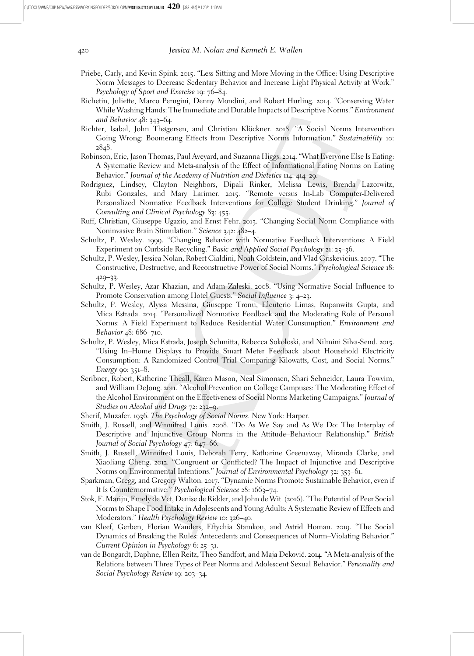- Priebe, Carly, and Kevin Spink. 2015. "Less Sitting and More Moving in the Office: Using Descriptive Norm Messages to Decrease Sedentary Behavior and Increase Light Physical Activity at Work." Psychology of Sport and Exercise 19: 76–84.
- Richetin, Juliette, Marco Perugini, Denny Mondini, and Robert Hurling. 2014. "Conserving Water While Washing Hands: The Immediate and Durable Impacts of Descriptive Norms." Environment and Behavior 48: 343–64.
- Richter, Isabal, John Thøgersen, and Christian Klöckner. 2018. "A Social Norms Intervention Going Wrong: Boomerang Effects from Descriptive Norms Information." Sustainability 10: 2848.
- Robinson, Eric, Jason Thomas, Paul Aveyard, and Suzanna Higgs. 2014. "What Everyone Else Is Eating: A Systematic Review and Meta-analysis of the Effect of Informational Eating Norms on Eating Behavior." Journal of the Academy of Nutrition and Dietetics 114: 414–29.
- Rodriguez, Lindsey, Clayton Neighbors, Dipali Rinker, Melissa Lewis, Brenda Lazorwitz, Rubi Gonzales, and Mary Larimer. 2015. "Remote versus In-Lab Computer-Delivered Personalized Normative Feedback Interventions for College Student Drinking." Journal of Consulting and Clinical Psychology 83: 455.
- Ruff, Christian, Giuseppe Ugazio, and Ernst Fehr. 2013. "Changing Social Norm Compliance with Noninvasive Brain Stimulation." Science 342: 482–4.
- Schultz, P. Wesley. 1999. "Changing Behavior with Normative Feedback Interventions: A Field Experiment on Curbside Recycling." Basic and Applied Social Psychology 21: 25–36.
- Schultz, P. Wesley, Jessica Nolan, Robert Cialdini, Noah Goldstein, and Vlad Griskevicius. 2007. "The Constructive, Destructive, and Reconstructive Power of Social Norms." Psychological Science 18: 429–33.
- Schultz, P. Wesley, Azar Khazian, and Adam Zaleski. 2008. "Using Normative Social Influence to Promote Conservation among Hotel Guests." Social Influence 3: 4–23.
- Schultz, P. Wesley, Alyssa Messina, Giuseppe Tronu, Eleuterio Limas, Rupanwita Gupta, and Mica Estrada. 2014. "Personalized Normative Feedback and the Moderating Role of Personal Norms: A Field Experiment to Reduce Residential Water Consumption." Environment and Behavior 48: 686–710.
- Schultz, P. Wesley, Mica Estrada, Joseph Schmitta, Rebecca Sokoloski, and Nilmini Silva-Send. 2015. "Using In–Home Displays to Provide Smart Meter Feedback about Household Electricity Consumption: A Randomized Control Trial Comparing Kilowatts, Cost, and Social Norms." Energy  $90: 351-8$ .
- Scribner, Robert, Katherine Theall, Karen Mason, Neal Simonsen, Shari Schneider, Laura Towvim, and William DeJong. 2011. "Alcohol Prevention on College Campuses: The Moderating Effect of the Alcohol Environment on the Effectiveness of Social Norms Marketing Campaigns." Journal of Studies on Alcohol and Drugs 72: 232–9.
- Sherif, Muzafer. 1936. The Psychology of Social Norms. New York: Harper.
- Smith, J. Russell, and Winnifred Louis. 2008. "Do As We Say and As We Do: The Interplay of Descriptive and Injunctive Group Norms in the Attitude–Behaviour Relationship." British Journal of Social Psychology 47: 647–66.
- Smith, J. Russell, Winnifred Louis, Deborah Terry, Katharine Greenaway, Miranda Clarke, and Xiaoliang Cheng. 2012. "Congruent or Conflicted? The Impact of Injunctive and Descriptive Norms on Environmental Intentions." Journal of Environmental Psychology 32: 353–61.
- Sparkman, Gregg, and Gregory Walton. 2017. "Dynamic Norms Promote Sustainable Behavior, even if It Is Counternormative." Psychological Science 28: 1663-74.
- Stok, F. Marijn, Emely de Vet, Denise de Ridder, and John de Wit. (2016). "The Potential of Peer Social Norms to Shape Food Intake in Adolescents and Young Adults: A Systematic Review of Effects and Moderators." Health Psychology Review 10: 326–40.
- van Kleef, Gerben, Florian Wanders, Eftychia Stamkou, and Astrid Homan. 2019. "The Social Dynamics of Breaking the Rules: Antecedents and Consequences of Norm–Violating Behavior." Current Opinion in Psychology 6: 25–31.
- van de Bongardt, Daphne, Ellen Reitz, Theo Sandfort, and Maja Dekovic´. 2014. "A Meta-analysis of the Relations between Three Types of Peer Norms and Adolescent Sexual Behavior." Personality and Social Psychology Review 19: 203–34.